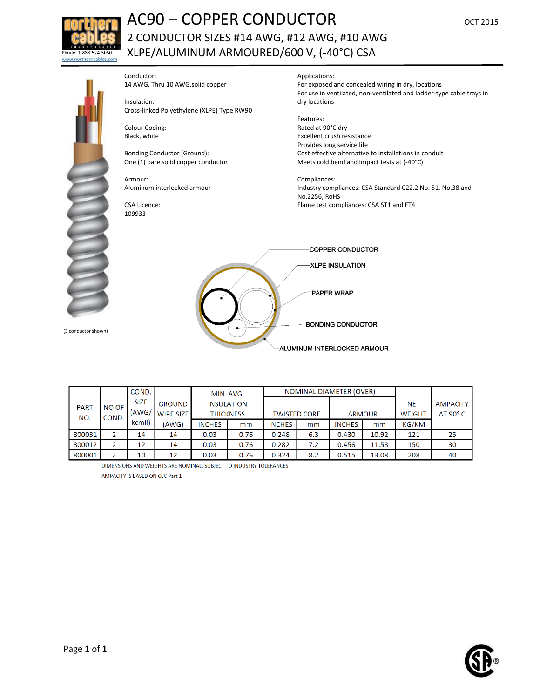

## **AC90 – COPPER CONDUCTOR** OCT 2015 2 CONDUCTOR SIZES #14 AWG, #12 AWG, #10 AWG XLPE/ALUMINUM ARMOURED/600 V, (-40°C) CSA



(3 conductor shown)

Conductor: 14 AWG. Thru 10 AWG.solid copper

Insulation: Cross-linked Polyethylene (XLPE) Type RW90

Colour Coding: Black, white

Bonding Conductor (Ground): One (1) bare solid copper conductor

Armour: Aluminum interlocked armour

CSA Licence: 109933

Applications:

For exposed and concealed wiring in dry, locations For use in ventilated, non-ventilated and ladder-type cable trays in dry locations

Features: Rated at 90°C dry Excellent crush resistance Provides long service life Cost effective alternative to installations in conduit Meets cold bend and impact tests at (-40°C)

Compliances: Industry compliances: CSA Standard C22.2 No. 51, No.38 and No.2256, RoHS Flame test compliances: CSA ST1 and FT4



|             |       | COND.       |                  | MIN. AVG.        |                   | NOMINAL DIAMETER (OVER) |     |               |       |               |                   |
|-------------|-------|-------------|------------------|------------------|-------------------|-------------------------|-----|---------------|-------|---------------|-------------------|
| <b>PART</b> | NO OF | <b>SIZE</b> | <b>GROUND</b>    |                  | <b>INSULATION</b> |                         |     |               |       | <b>NET</b>    | <b>AMPACITY</b>   |
| NO.         | COND. | (AWG/       | <b>WIRE SIZE</b> | <b>THICKNESS</b> |                   | <b>TWISTED CORE</b>     |     | <b>ARMOUR</b> |       | <b>WEIGHT</b> | $AT 90^{\circ}$ C |
|             |       | kcmil)      | (AWG)            | <b>INCHES</b>    | mm                | <b>INCHES</b>           | mm  | <b>INCHES</b> | mm    | KG/KM         |                   |
| 800031      |       | 14          | 14               | 0.03             | 0.76              | 0.248                   | 6.3 | 0.430         | 10.92 | 121           | 25                |
| 800012      |       | 12          | 14               | 0.03             | 0.76              | 0.282                   | 7.2 | 0.456         | 11.58 | 150           | 30                |
| 800001      |       | 10          | 12               | 0.03             | 0.76              | 0.324                   | 8.2 | 0.515         | 13.08 | 208           | 40                |

DIMENSIONS AND WEIGHTS ARE NOMINAL; SUBJECT TO INDUSTRY TOLERANCES AMPACITY IS BASED ON CEC Part 1

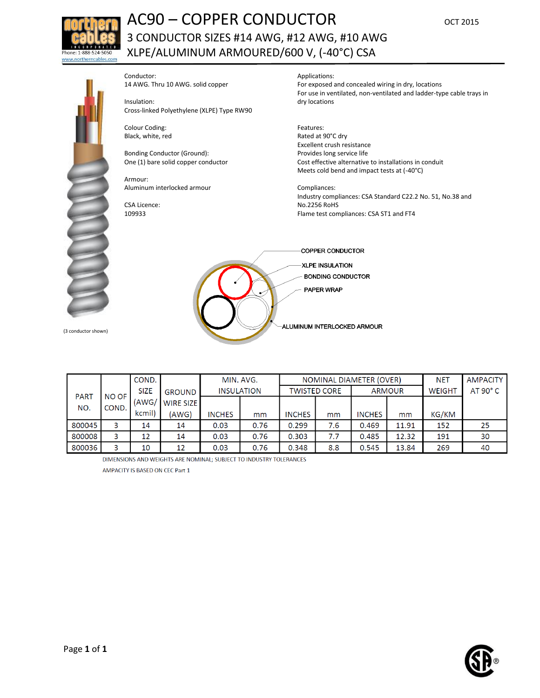

## AC90 – COPPER CONDUCTOR OCT 2015 3 CONDUCTOR SIZES #14 AWG, #12 AWG, #10 AWG XLPE/ALUMINUM ARMOURED/600 V, (-40°C) CSA



Conductor: 14 AWG. Thru 10 AWG. solid copper

Insulation: Cross-linked Polyethylene (XLPE) Type RW90

Colour Coding: Black, white, red

Bonding Conductor (Ground): One (1) bare solid copper conductor

Armour: Aluminum interlocked armour

CSA Licence: 109933

Applications:

For exposed and concealed wiring in dry, locations For use in ventilated, non-ventilated and ladder-type cable trays in dry locations

Features: Rated at 90°C dry Excellent crush resistance Provides long service life Cost effective alternative to installations in conduit Meets cold bend and impact tests at (-40°C)

Compliances: Industry compliances: CSA Standard C22.2 No. 51, No.38 and No.2256 RoHS Flame test compliances: CSA ST1 and FT4



|             |              | COND.       |                 | MIN. AVG.         |      | NOMINAL DIAMETER (OVER) |     |               |       | NET           | <b>AMPACITY</b> |
|-------------|--------------|-------------|-----------------|-------------------|------|-------------------------|-----|---------------|-------|---------------|-----------------|
| <b>PART</b> | <b>NO OF</b> | <b>SIZE</b> | <b>GROUND</b>   | <b>INSULATION</b> |      | <b>TWISTED CORE</b>     |     | <b>ARMOUR</b> |       | <b>WEIGHT</b> | $AT 90^\circ C$ |
| NO.         | COND.        |             | (AWG/ WIRE SIZE |                   |      |                         |     |               |       |               |                 |
|             |              | kcmil)      | (AWG)           | <b>INCHES</b>     | mm   | <b>INCHES</b>           | mm  | <b>INCHES</b> | mm    | KG/KM         |                 |
| 800045      | 3            | 14          | 14              | 0.03              | 0.76 | 0.299                   | 7.6 | 0.469         | 11.91 | 152           | 25              |
| 800008      | 3            | 12          | 14              | 0.03              | 0.76 | 0.303                   | 7.7 | 0.485         | 12.32 | 191           | 30              |
| 800036      | 3            | 10          | 12              | 0.03              | 0.76 | 0.348                   | 8.8 | 0.545         | 13.84 | 269           | 40              |

DIMENSIONS AND WEIGHTS ARE NOMINAL; SUBJECT TO INDUSTRY TOLERANCES

AMPACITY IS BASED ON CEC Part 1